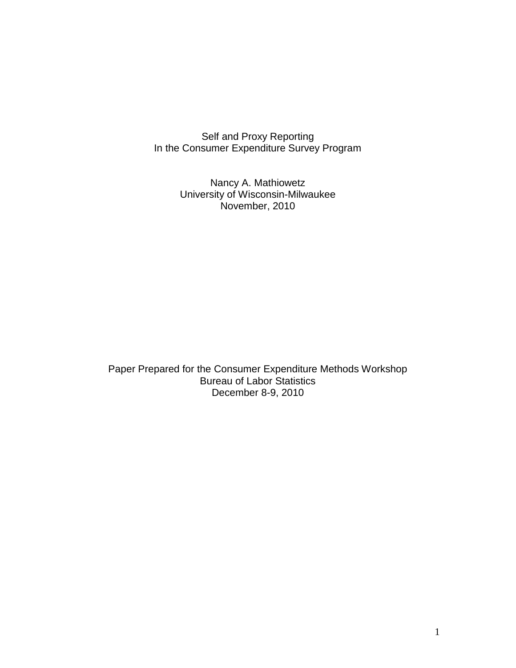Self and Proxy Reporting In the Consumer Expenditure Survey Program

> Nancy A. Mathiowetz University of Wisconsin-Milwaukee November, 2010

Paper Prepared for the Consumer Expenditure Methods Workshop Bureau of Labor Statistics December 8-9, 2010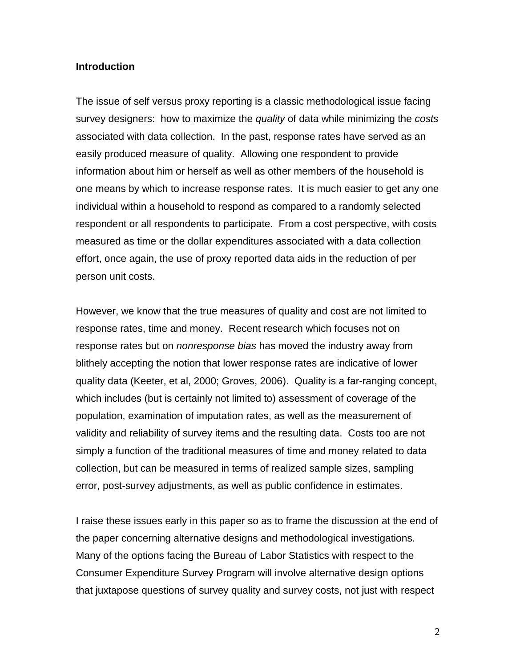#### **Introduction**

The issue of self versus proxy reporting is a classic methodological issue facing survey designers: how to maximize the *quality* of data while minimizing the *costs* associated with data collection. In the past, response rates have served as an easily produced measure of quality. Allowing one respondent to provide information about him or herself as well as other members of the household is one means by which to increase response rates. It is much easier to get any one individual within a household to respond as compared to a randomly selected respondent or all respondents to participate. From a cost perspective, with costs measured as time or the dollar expenditures associated with a data collection effort, once again, the use of proxy reported data aids in the reduction of per person unit costs.

However, we know that the true measures of quality and cost are not limited to response rates, time and money. Recent research which focuses not on response rates but on *nonresponse bias* has moved the industry away from blithely accepting the notion that lower response rates are indicative of lower quality data (Keeter, et al, 2000; Groves, 2006). Quality is a far-ranging concept, which includes (but is certainly not limited to) assessment of coverage of the population, examination of imputation rates, as well as the measurement of validity and reliability of survey items and the resulting data. Costs too are not simply a function of the traditional measures of time and money related to data collection, but can be measured in terms of realized sample sizes, sampling error, post-survey adjustments, as well as public confidence in estimates.

I raise these issues early in this paper so as to frame the discussion at the end of the paper concerning alternative designs and methodological investigations. Many of the options facing the Bureau of Labor Statistics with respect to the Consumer Expenditure Survey Program will involve alternative design options that juxtapose questions of survey quality and survey costs, not just with respect

2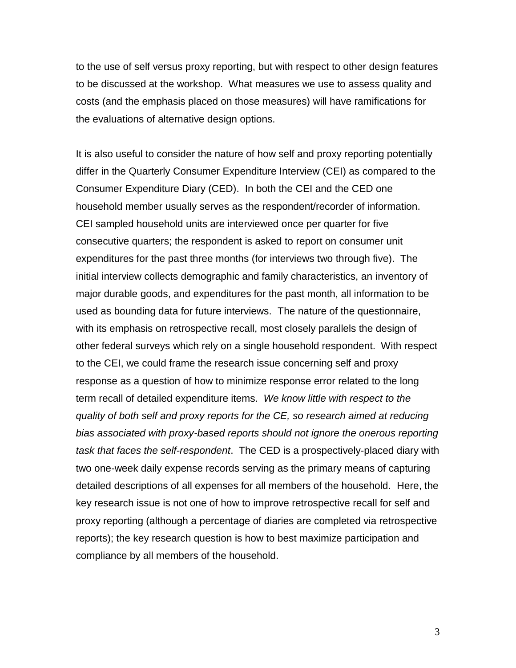to the use of self versus proxy reporting, but with respect to other design features to be discussed at the workshop. What measures we use to assess quality and costs (and the emphasis placed on those measures) will have ramifications for the evaluations of alternative design options.

It is also useful to consider the nature of how self and proxy reporting potentially differ in the Quarterly Consumer Expenditure Interview (CEI) as compared to the Consumer Expenditure Diary (CED). In both the CEI and the CED one household member usually serves as the respondent/recorder of information. CEI sampled household units are interviewed once per quarter for five consecutive quarters; the respondent is asked to report on consumer unit expenditures for the past three months (for interviews two through five). The initial interview collects demographic and family characteristics, an inventory of major durable goods, and expenditures for the past month, all information to be used as bounding data for future interviews. The nature of the questionnaire, with its emphasis on retrospective recall, most closely parallels the design of other federal surveys which rely on a single household respondent. With respect to the CEI, we could frame the research issue concerning self and proxy response as a question of how to minimize response error related to the long term recall of detailed expenditure items. *We know little with respect to the quality of both self and proxy reports for the CE, so research aimed at reducing bias associated with proxy-based reports should not ignore the onerous reporting task that faces the self-respondent*. The CED is a prospectively-placed diary with two one-week daily expense records serving as the primary means of capturing detailed descriptions of all expenses for all members of the household. Here, the key research issue is not one of how to improve retrospective recall for self and proxy reporting (although a percentage of diaries are completed via retrospective reports); the key research question is how to best maximize participation and compliance by all members of the household.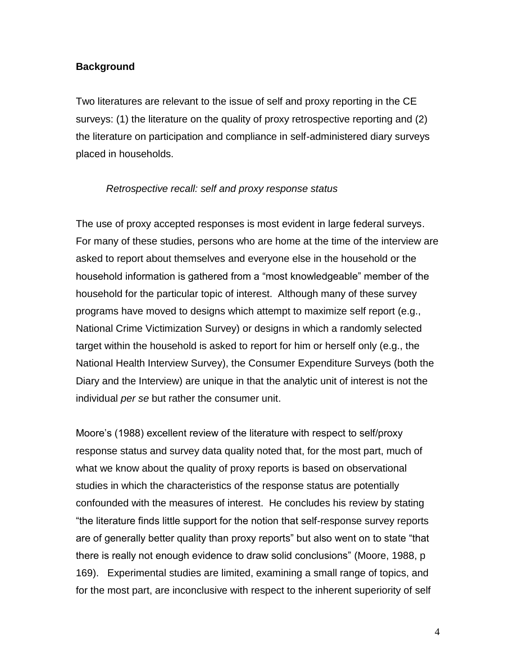## **Background**

Two literatures are relevant to the issue of self and proxy reporting in the CE surveys: (1) the literature on the quality of proxy retrospective reporting and (2) the literature on participation and compliance in self-administered diary surveys placed in households.

#### *Retrospective recall: self and proxy response status*

The use of proxy accepted responses is most evident in large federal surveys. For many of these studies, persons who are home at the time of the interview are asked to report about themselves and everyone else in the household or the household information is gathered from a "most knowledgeable" member of the household for the particular topic of interest. Although many of these survey programs have moved to designs which attempt to maximize self report (e.g., National Crime Victimization Survey) or designs in which a randomly selected target within the household is asked to report for him or herself only (e.g., the National Health Interview Survey), the Consumer Expenditure Surveys (both the Diary and the Interview) are unique in that the analytic unit of interest is not the individual *per se* but rather the consumer unit.

Moore's (1988) excellent review of the literature with respect to self/proxy response status and survey data quality noted that, for the most part, much of what we know about the quality of proxy reports is based on observational studies in which the characteristics of the response status are potentially confounded with the measures of interest. He concludes his review by stating "the literature finds little support for the notion that self-response survey reports are of generally better quality than proxy reports" but also went on to state "that there is really not enough evidence to draw solid conclusions" (Moore, 1988, p 169). Experimental studies are limited, examining a small range of topics, and for the most part, are inconclusive with respect to the inherent superiority of self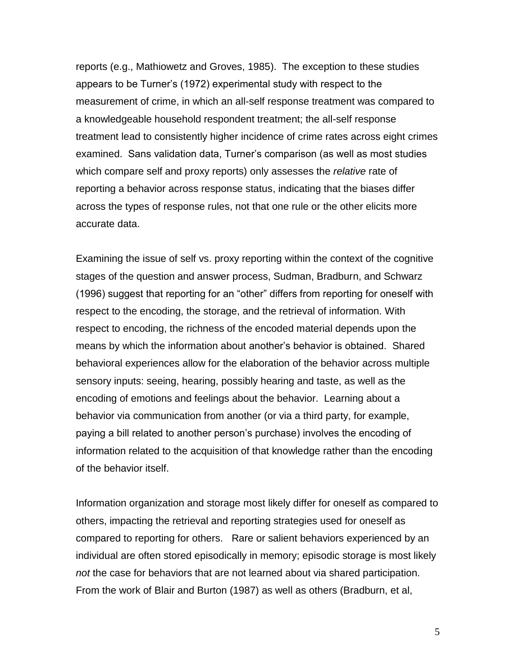reports (e.g., Mathiowetz and Groves, 1985). The exception to these studies appears to be Turner's (1972) experimental study with respect to the measurement of crime, in which an all-self response treatment was compared to a knowledgeable household respondent treatment; the all-self response treatment lead to consistently higher incidence of crime rates across eight crimes examined. Sans validation data, Turner's comparison (as well as most studies which compare self and proxy reports) only assesses the *relative* rate of reporting a behavior across response status, indicating that the biases differ across the types of response rules, not that one rule or the other elicits more accurate data.

Examining the issue of self vs. proxy reporting within the context of the cognitive stages of the question and answer process, Sudman, Bradburn, and Schwarz (1996) suggest that reporting for an "other" differs from reporting for oneself with respect to the encoding, the storage, and the retrieval of information. With respect to encoding, the richness of the encoded material depends upon the means by which the information about another's behavior is obtained. Shared behavioral experiences allow for the elaboration of the behavior across multiple sensory inputs: seeing, hearing, possibly hearing and taste, as well as the encoding of emotions and feelings about the behavior. Learning about a behavior via communication from another (or via a third party, for example, paying a bill related to another person's purchase) involves the encoding of information related to the acquisition of that knowledge rather than the encoding of the behavior itself.

Information organization and storage most likely differ for oneself as compared to others, impacting the retrieval and reporting strategies used for oneself as compared to reporting for others. Rare or salient behaviors experienced by an individual are often stored episodically in memory; episodic storage is most likely *not* the case for behaviors that are not learned about via shared participation. From the work of Blair and Burton (1987) as well as others (Bradburn, et al,

5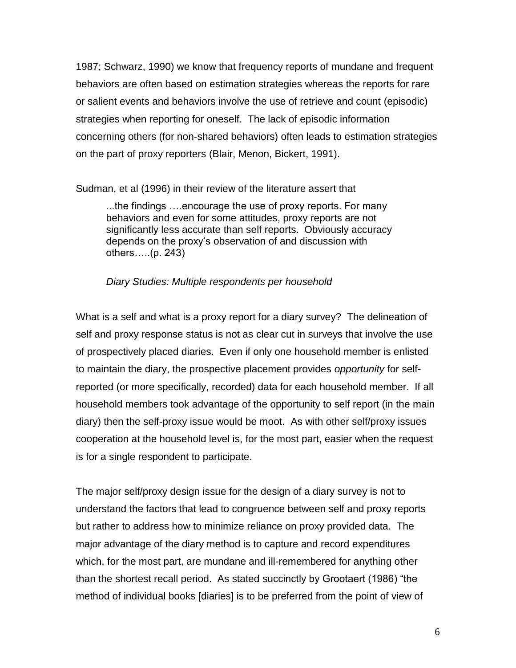1987; Schwarz, 1990) we know that frequency reports of mundane and frequent behaviors are often based on estimation strategies whereas the reports for rare or salient events and behaviors involve the use of retrieve and count (episodic) strategies when reporting for oneself. The lack of episodic information concerning others (for non-shared behaviors) often leads to estimation strategies on the part of proxy reporters (Blair, Menon, Bickert, 1991).

Sudman, et al (1996) in their review of the literature assert that

...the findings ….encourage the use of proxy reports. For many behaviors and even for some attitudes, proxy reports are not significantly less accurate than self reports. Obviously accuracy depends on the proxy's observation of and discussion with others…..(p. 243)

*Diary Studies: Multiple respondents per household*

What is a self and what is a proxy report for a diary survey? The delineation of self and proxy response status is not as clear cut in surveys that involve the use of prospectively placed diaries. Even if only one household member is enlisted to maintain the diary, the prospective placement provides *opportunity* for selfreported (or more specifically, recorded) data for each household member. If all household members took advantage of the opportunity to self report (in the main diary) then the self-proxy issue would be moot. As with other self/proxy issues cooperation at the household level is, for the most part, easier when the request is for a single respondent to participate.

The major self/proxy design issue for the design of a diary survey is not to understand the factors that lead to congruence between self and proxy reports but rather to address how to minimize reliance on proxy provided data. The major advantage of the diary method is to capture and record expenditures which, for the most part, are mundane and ill-remembered for anything other than the shortest recall period. As stated succinctly by Grootaert (1986) "the method of individual books [diaries] is to be preferred from the point of view of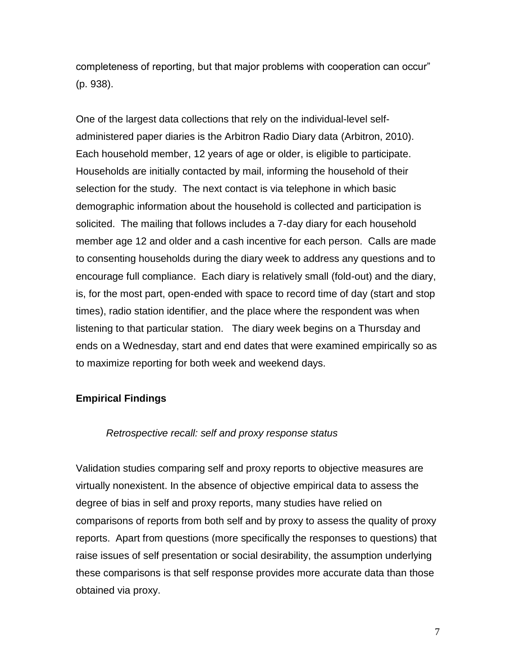completeness of reporting, but that major problems with cooperation can occur" (p. 938).

One of the largest data collections that rely on the individual-level selfadministered paper diaries is the Arbitron Radio Diary data (Arbitron, 2010). Each household member, 12 years of age or older, is eligible to participate. Households are initially contacted by mail, informing the household of their selection for the study. The next contact is via telephone in which basic demographic information about the household is collected and participation is solicited. The mailing that follows includes a 7-day diary for each household member age 12 and older and a cash incentive for each person. Calls are made to consenting households during the diary week to address any questions and to encourage full compliance. Each diary is relatively small (fold-out) and the diary, is, for the most part, open-ended with space to record time of day (start and stop times), radio station identifier, and the place where the respondent was when listening to that particular station. The diary week begins on a Thursday and ends on a Wednesday, start and end dates that were examined empirically so as to maximize reporting for both week and weekend days.

## **Empirical Findings**

#### *Retrospective recall: self and proxy response status*

Validation studies comparing self and proxy reports to objective measures are virtually nonexistent. In the absence of objective empirical data to assess the degree of bias in self and proxy reports, many studies have relied on comparisons of reports from both self and by proxy to assess the quality of proxy reports. Apart from questions (more specifically the responses to questions) that raise issues of self presentation or social desirability, the assumption underlying these comparisons is that self response provides more accurate data than those obtained via proxy.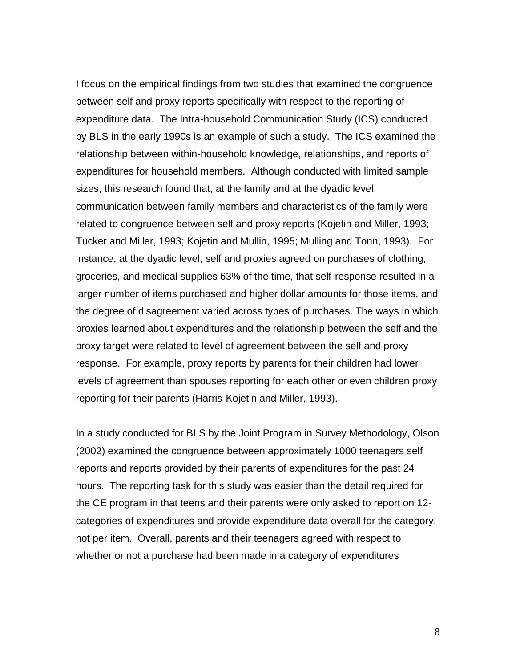I focus on the empirical findings from two studies that examined the congruence between self and proxy reports specifically with respect to the reporting of expenditure data. The Intra-household Communication Study (ICS) conducted by BLS in the early 1990s is an example of such a study. The ICS examined the relationship between within-household knowledge, relationships, and reports of expenditures for household members. Although conducted with limited sample sizes, this research found that, at the family and at the dyadic level, communication between family members and characteristics of the family were related to congruence between self and proxy reports (Kojetin and Miller, 1993; Tucker and Miller, 1993; Kojetin and Mullin, 1995; Mulling and Tonn, 1993). For instance, at the dyadic level, self and proxies agreed on purchases of clothing, groceries, and medical supplies 63% of the time, that self-response resulted in a larger number of items purchased and higher dollar amounts for those items, and the degree of disagreement varied across types of purchases. The ways in which proxies learned about expenditures and the relationship between the self and the proxy target were related to level of agreement between the self and proxy response. For example, proxy reports by parents for their children had lower levels of agreement than spouses reporting for each other or even children proxy reporting for their parents (Harris-Kojetin and Miller, 1993).

In a study conducted for BLS by the Joint Program in Survey Methodology, Olson (2002) examined the congruence between approximately 1000 teenagers self reports and reports provided by their parents of expenditures for the past 24 hours. The reporting task for this study was easier than the detail required for the CE program in that teens and their parents were only asked to report on 12 categories of expenditures and provide expenditure data overall for the category, not per item. Overall, parents and their teenagers agreed with respect to whether or not a purchase had been made in a category of expenditures

8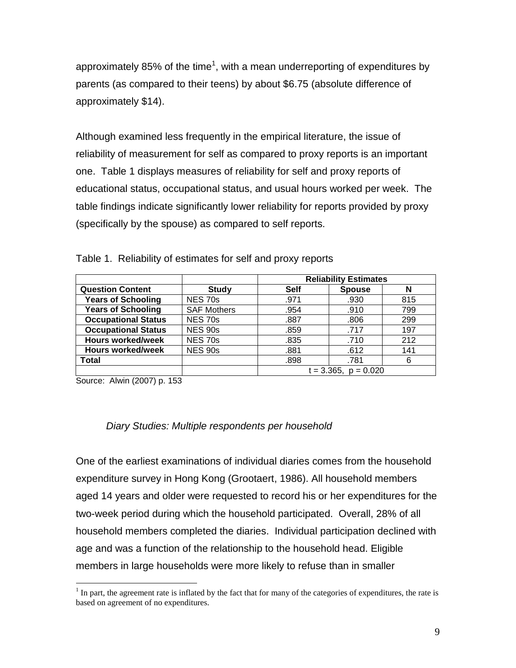approximately 85% of the time<sup>1</sup>, with a mean underreporting of expenditures by parents (as compared to their teens) by about \$6.75 (absolute difference of approximately \$14).

Although examined less frequently in the empirical literature, the issue of reliability of measurement for self as compared to proxy reports is an important one. Table 1 displays measures of reliability for self and proxy reports of educational status, occupational status, and usual hours worked per week. The table findings indicate significantly lower reliability for reports provided by proxy (specifically by the spouse) as compared to self reports.

|                            |                    | <b>Reliability Estimates</b> |               |     |
|----------------------------|--------------------|------------------------------|---------------|-----|
| <b>Question Content</b>    | <b>Study</b>       | <b>Self</b>                  | <b>Spouse</b> | N   |
| <b>Years of Schooling</b>  | <b>NES 70s</b>     | .971                         | .930          | 815 |
| <b>Years of Schooling</b>  | <b>SAF Mothers</b> | .954                         | .910          | 799 |
| <b>Occupational Status</b> | <b>NES 70s</b>     | .887                         | .806          | 299 |
| <b>Occupational Status</b> | <b>NES 90s</b>     | .859                         | .717          | 197 |
| <b>Hours worked/week</b>   | <b>NES 70s</b>     | .835                         | .710          | 212 |
| <b>Hours worked/week</b>   | <b>NES 90s</b>     | .881                         | .612          | 141 |
| <b>Total</b>               |                    | .898                         | .781          | 6   |
|                            |                    | $t = 3.365$ , $p = 0.020$    |               |     |

Table 1. Reliability of estimates for self and proxy reports

Source: Alwin (2007) p. 153

 $\overline{a}$ 

## *Diary Studies: Multiple respondents per household*

One of the earliest examinations of individual diaries comes from the household expenditure survey in Hong Kong (Grootaert, 1986). All household members aged 14 years and older were requested to record his or her expenditures for the two-week period during which the household participated. Overall, 28% of all household members completed the diaries. Individual participation declined with age and was a function of the relationship to the household head. Eligible members in large households were more likely to refuse than in smaller

 $<sup>1</sup>$  In part, the agreement rate is inflated by the fact that for many of the categories of expenditures, the rate is</sup> based on agreement of no expenditures.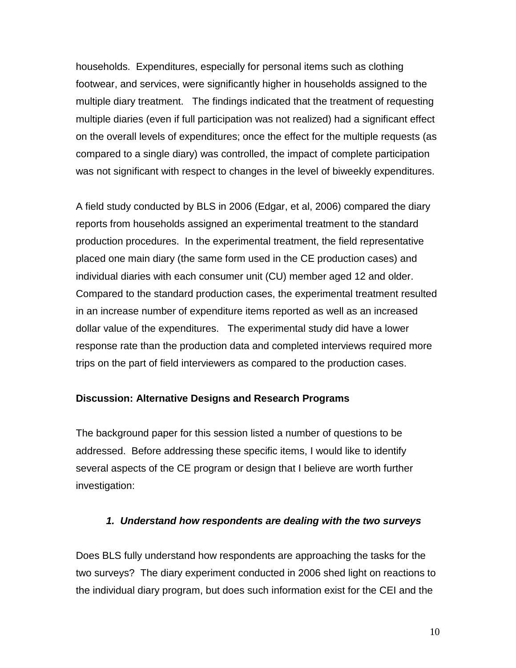households. Expenditures, especially for personal items such as clothing footwear, and services, were significantly higher in households assigned to the multiple diary treatment. The findings indicated that the treatment of requesting multiple diaries (even if full participation was not realized) had a significant effect on the overall levels of expenditures; once the effect for the multiple requests (as compared to a single diary) was controlled, the impact of complete participation was not significant with respect to changes in the level of biweekly expenditures.

A field study conducted by BLS in 2006 (Edgar, et al, 2006) compared the diary reports from households assigned an experimental treatment to the standard production procedures. In the experimental treatment, the field representative placed one main diary (the same form used in the CE production cases) and individual diaries with each consumer unit (CU) member aged 12 and older. Compared to the standard production cases, the experimental treatment resulted in an increase number of expenditure items reported as well as an increased dollar value of the expenditures. The experimental study did have a lower response rate than the production data and completed interviews required more trips on the part of field interviewers as compared to the production cases.

## **Discussion: Alternative Designs and Research Programs**

The background paper for this session listed a number of questions to be addressed. Before addressing these specific items, I would like to identify several aspects of the CE program or design that I believe are worth further investigation:

#### *1. Understand how respondents are dealing with the two surveys*

Does BLS fully understand how respondents are approaching the tasks for the two surveys? The diary experiment conducted in 2006 shed light on reactions to the individual diary program, but does such information exist for the CEI and the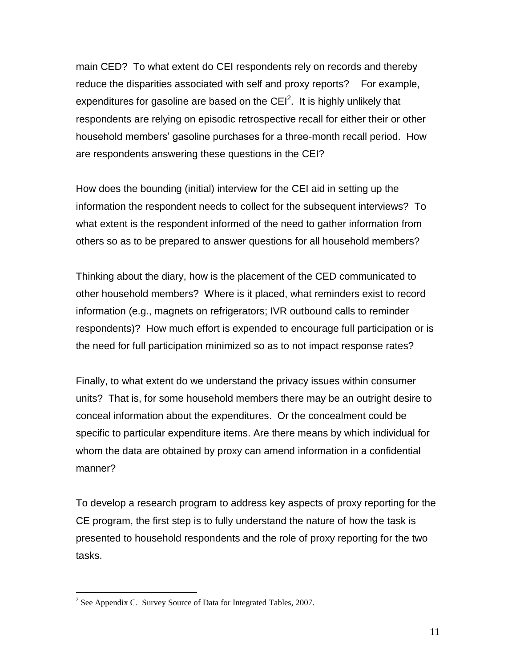main CED? To what extent do CEI respondents rely on records and thereby reduce the disparities associated with self and proxy reports? For example, expenditures for gasoline are based on the CEI<sup>2</sup>. It is highly unlikely that respondents are relying on episodic retrospective recall for either their or other household members' gasoline purchases for a three-month recall period. How are respondents answering these questions in the CEI?

How does the bounding (initial) interview for the CEI aid in setting up the information the respondent needs to collect for the subsequent interviews? To what extent is the respondent informed of the need to gather information from others so as to be prepared to answer questions for all household members?

Thinking about the diary, how is the placement of the CED communicated to other household members? Where is it placed, what reminders exist to record information (e.g., magnets on refrigerators; IVR outbound calls to reminder respondents)? How much effort is expended to encourage full participation or is the need for full participation minimized so as to not impact response rates?

Finally, to what extent do we understand the privacy issues within consumer units? That is, for some household members there may be an outright desire to conceal information about the expenditures. Or the concealment could be specific to particular expenditure items. Are there means by which individual for whom the data are obtained by proxy can amend information in a confidential manner?

To develop a research program to address key aspects of proxy reporting for the CE program, the first step is to fully understand the nature of how the task is presented to household respondents and the role of proxy reporting for the two tasks.

 $\overline{a}$ 

<sup>&</sup>lt;sup>2</sup> See Appendix C. Survey Source of Data for Integrated Tables, 2007.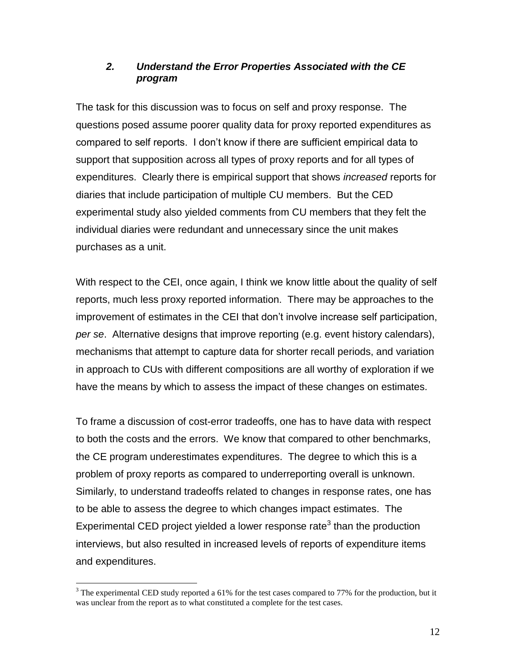## *2. Understand the Error Properties Associated with the CE program*

The task for this discussion was to focus on self and proxy response. The questions posed assume poorer quality data for proxy reported expenditures as compared to self reports. I don't know if there are sufficient empirical data to support that supposition across all types of proxy reports and for all types of expenditures. Clearly there is empirical support that shows *increased* reports for diaries that include participation of multiple CU members. But the CED experimental study also yielded comments from CU members that they felt the individual diaries were redundant and unnecessary since the unit makes purchases as a unit.

With respect to the CEI, once again, I think we know little about the quality of self reports, much less proxy reported information. There may be approaches to the improvement of estimates in the CEI that don't involve increase self participation, *per se*. Alternative designs that improve reporting (e.g. event history calendars), mechanisms that attempt to capture data for shorter recall periods, and variation in approach to CUs with different compositions are all worthy of exploration if we have the means by which to assess the impact of these changes on estimates.

To frame a discussion of cost-error tradeoffs, one has to have data with respect to both the costs and the errors. We know that compared to other benchmarks, the CE program underestimates expenditures. The degree to which this is a problem of proxy reports as compared to underreporting overall is unknown. Similarly, to understand tradeoffs related to changes in response rates, one has to be able to assess the degree to which changes impact estimates. The Experimental CED project yielded a lower response rate<sup>3</sup> than the production interviews, but also resulted in increased levels of reports of expenditure items and expenditures.

 $\overline{a}$ 

<sup>&</sup>lt;sup>3</sup> The experimental CED study reported a 61% for the test cases compared to 77% for the production, but it was unclear from the report as to what constituted a complete for the test cases.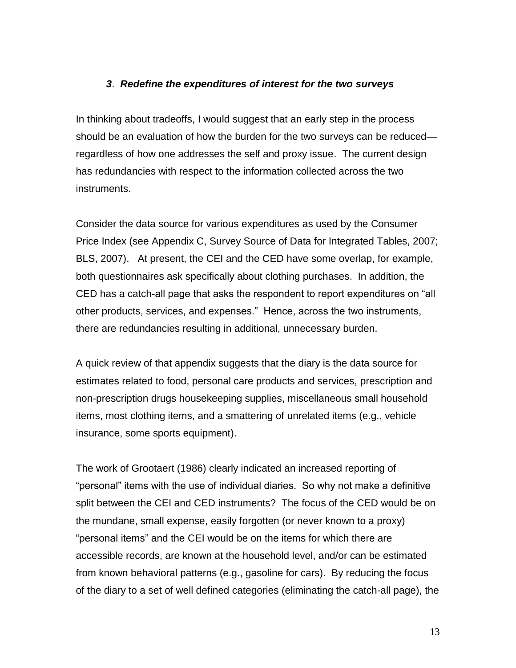## *3*. *Redefine the expenditures of interest for the two surveys*

In thinking about tradeoffs, I would suggest that an early step in the process should be an evaluation of how the burden for the two surveys can be reduced regardless of how one addresses the self and proxy issue. The current design has redundancies with respect to the information collected across the two instruments.

Consider the data source for various expenditures as used by the Consumer Price Index (see Appendix C, Survey Source of Data for Integrated Tables, 2007; BLS, 2007). At present, the CEI and the CED have some overlap, for example, both questionnaires ask specifically about clothing purchases. In addition, the CED has a catch-all page that asks the respondent to report expenditures on "all other products, services, and expenses.‖ Hence, across the two instruments, there are redundancies resulting in additional, unnecessary burden.

A quick review of that appendix suggests that the diary is the data source for estimates related to food, personal care products and services, prescription and non-prescription drugs housekeeping supplies, miscellaneous small household items, most clothing items, and a smattering of unrelated items (e.g., vehicle insurance, some sports equipment).

The work of Grootaert (1986) clearly indicated an increased reporting of "personal" items with the use of individual diaries. So why not make a definitive split between the CEI and CED instruments? The focus of the CED would be on the mundane, small expense, easily forgotten (or never known to a proxy) "personal items" and the CEI would be on the items for which there are accessible records, are known at the household level, and/or can be estimated from known behavioral patterns (e.g., gasoline for cars). By reducing the focus of the diary to a set of well defined categories (eliminating the catch-all page), the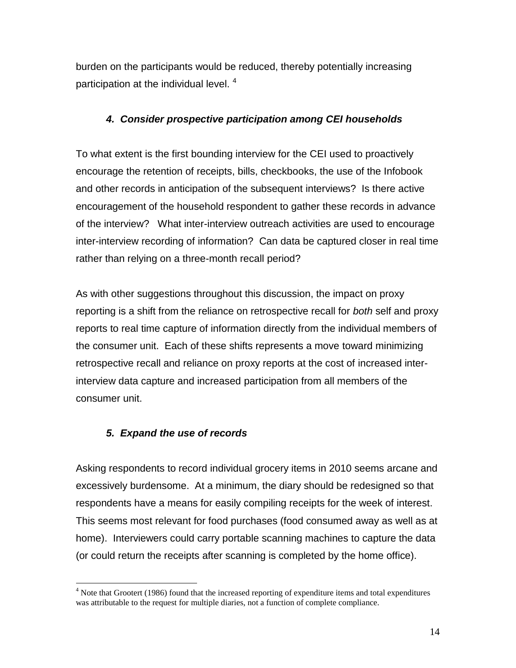burden on the participants would be reduced, thereby potentially increasing participation at the individual level.  $4\overline{ }$ 

## *4. Consider prospective participation among CEI households*

To what extent is the first bounding interview for the CEI used to proactively encourage the retention of receipts, bills, checkbooks, the use of the Infobook and other records in anticipation of the subsequent interviews? Is there active encouragement of the household respondent to gather these records in advance of the interview? What inter-interview outreach activities are used to encourage inter-interview recording of information? Can data be captured closer in real time rather than relying on a three-month recall period?

As with other suggestions throughout this discussion, the impact on proxy reporting is a shift from the reliance on retrospective recall for *both* self and proxy reports to real time capture of information directly from the individual members of the consumer unit. Each of these shifts represents a move toward minimizing retrospective recall and reliance on proxy reports at the cost of increased interinterview data capture and increased participation from all members of the consumer unit.

## *5. Expand the use of records*

 $\overline{a}$ 

Asking respondents to record individual grocery items in 2010 seems arcane and excessively burdensome. At a minimum, the diary should be redesigned so that respondents have a means for easily compiling receipts for the week of interest. This seems most relevant for food purchases (food consumed away as well as at home). Interviewers could carry portable scanning machines to capture the data (or could return the receipts after scanning is completed by the home office).

 $<sup>4</sup>$  Note that Grootert (1986) found that the increased reporting of expenditure items and total expenditures</sup> was attributable to the request for multiple diaries, not a function of complete compliance.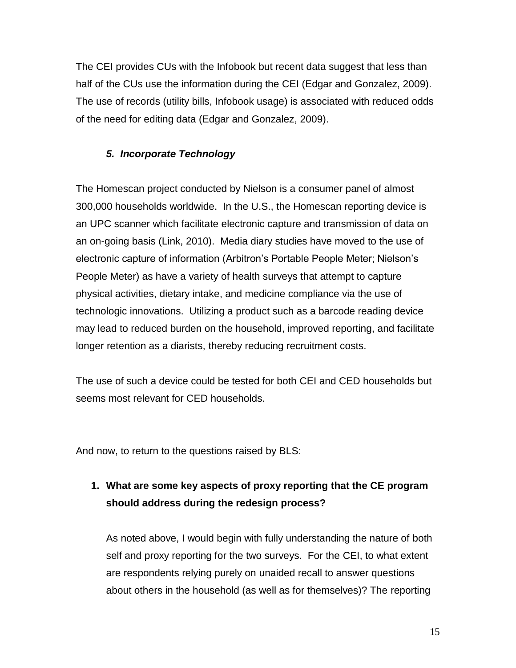The CEI provides CUs with the Infobook but recent data suggest that less than half of the CUs use the information during the CEI (Edgar and Gonzalez, 2009). The use of records (utility bills, Infobook usage) is associated with reduced odds of the need for editing data (Edgar and Gonzalez, 2009).

## *5. Incorporate Technology*

The Homescan project conducted by Nielson is a consumer panel of almost 300,000 households worldwide. In the U.S., the Homescan reporting device is an UPC scanner which facilitate electronic capture and transmission of data on an on-going basis (Link, 2010). Media diary studies have moved to the use of electronic capture of information (Arbitron's Portable People Meter; Nielson's People Meter) as have a variety of health surveys that attempt to capture physical activities, dietary intake, and medicine compliance via the use of technologic innovations. Utilizing a product such as a barcode reading device may lead to reduced burden on the household, improved reporting, and facilitate longer retention as a diarists, thereby reducing recruitment costs.

The use of such a device could be tested for both CEI and CED households but seems most relevant for CED households.

And now, to return to the questions raised by BLS:

# **1. What are some key aspects of proxy reporting that the CE program should address during the redesign process?**

As noted above, I would begin with fully understanding the nature of both self and proxy reporting for the two surveys. For the CEI, to what extent are respondents relying purely on unaided recall to answer questions about others in the household (as well as for themselves)? The reporting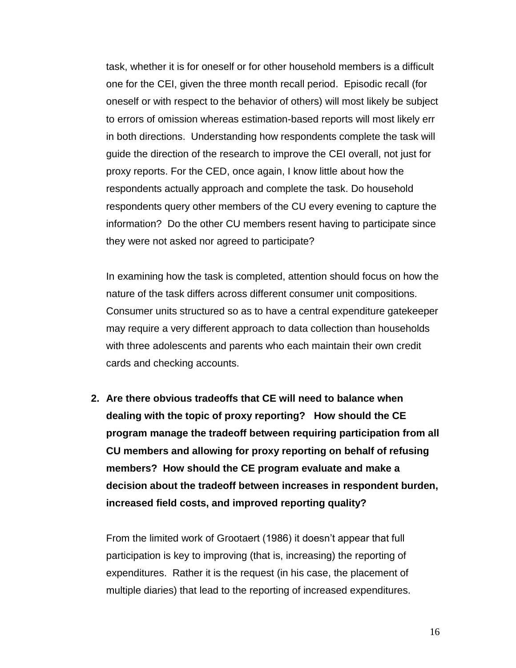task, whether it is for oneself or for other household members is a difficult one for the CEI, given the three month recall period. Episodic recall (for oneself or with respect to the behavior of others) will most likely be subject to errors of omission whereas estimation-based reports will most likely err in both directions. Understanding how respondents complete the task will guide the direction of the research to improve the CEI overall, not just for proxy reports. For the CED, once again, I know little about how the respondents actually approach and complete the task. Do household respondents query other members of the CU every evening to capture the information? Do the other CU members resent having to participate since they were not asked nor agreed to participate?

In examining how the task is completed, attention should focus on how the nature of the task differs across different consumer unit compositions. Consumer units structured so as to have a central expenditure gatekeeper may require a very different approach to data collection than households with three adolescents and parents who each maintain their own credit cards and checking accounts.

**2. Are there obvious tradeoffs that CE will need to balance when dealing with the topic of proxy reporting? How should the CE program manage the tradeoff between requiring participation from all CU members and allowing for proxy reporting on behalf of refusing members? How should the CE program evaluate and make a decision about the tradeoff between increases in respondent burden, increased field costs, and improved reporting quality?**

From the limited work of Grootaert (1986) it doesn't appear that full participation is key to improving (that is, increasing) the reporting of expenditures. Rather it is the request (in his case, the placement of multiple diaries) that lead to the reporting of increased expenditures.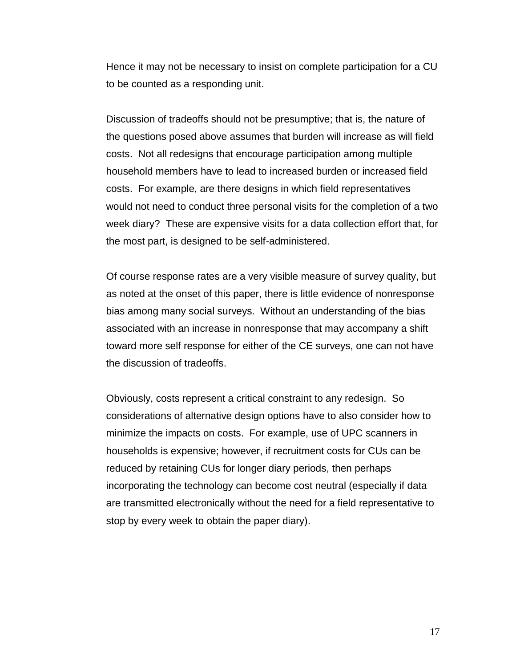Hence it may not be necessary to insist on complete participation for a CU to be counted as a responding unit.

Discussion of tradeoffs should not be presumptive; that is, the nature of the questions posed above assumes that burden will increase as will field costs. Not all redesigns that encourage participation among multiple household members have to lead to increased burden or increased field costs. For example, are there designs in which field representatives would not need to conduct three personal visits for the completion of a two week diary? These are expensive visits for a data collection effort that, for the most part, is designed to be self-administered.

Of course response rates are a very visible measure of survey quality, but as noted at the onset of this paper, there is little evidence of nonresponse bias among many social surveys. Without an understanding of the bias associated with an increase in nonresponse that may accompany a shift toward more self response for either of the CE surveys, one can not have the discussion of tradeoffs.

Obviously, costs represent a critical constraint to any redesign. So considerations of alternative design options have to also consider how to minimize the impacts on costs. For example, use of UPC scanners in households is expensive; however, if recruitment costs for CUs can be reduced by retaining CUs for longer diary periods, then perhaps incorporating the technology can become cost neutral (especially if data are transmitted electronically without the need for a field representative to stop by every week to obtain the paper diary).

17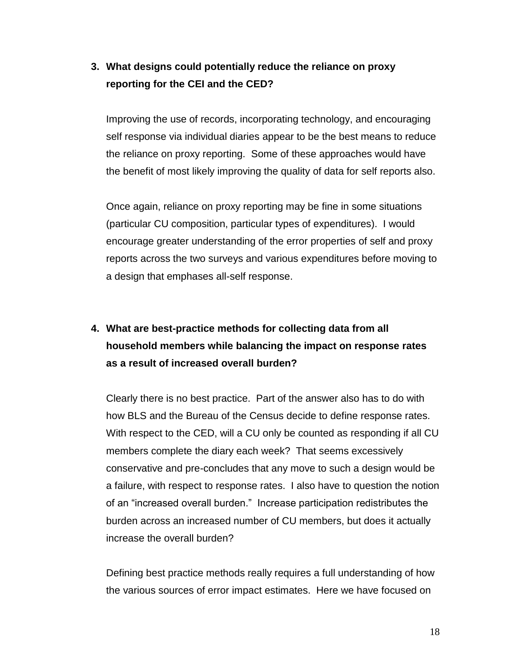## **3. What designs could potentially reduce the reliance on proxy reporting for the CEI and the CED?**

Improving the use of records, incorporating technology, and encouraging self response via individual diaries appear to be the best means to reduce the reliance on proxy reporting. Some of these approaches would have the benefit of most likely improving the quality of data for self reports also.

Once again, reliance on proxy reporting may be fine in some situations (particular CU composition, particular types of expenditures). I would encourage greater understanding of the error properties of self and proxy reports across the two surveys and various expenditures before moving to a design that emphases all-self response.

# **4. What are best-practice methods for collecting data from all household members while balancing the impact on response rates as a result of increased overall burden?**

Clearly there is no best practice. Part of the answer also has to do with how BLS and the Bureau of the Census decide to define response rates. With respect to the CED, will a CU only be counted as responding if all CU members complete the diary each week? That seems excessively conservative and pre-concludes that any move to such a design would be a failure, with respect to response rates. I also have to question the notion of an "increased overall burden." Increase participation redistributes the burden across an increased number of CU members, but does it actually increase the overall burden?

Defining best practice methods really requires a full understanding of how the various sources of error impact estimates. Here we have focused on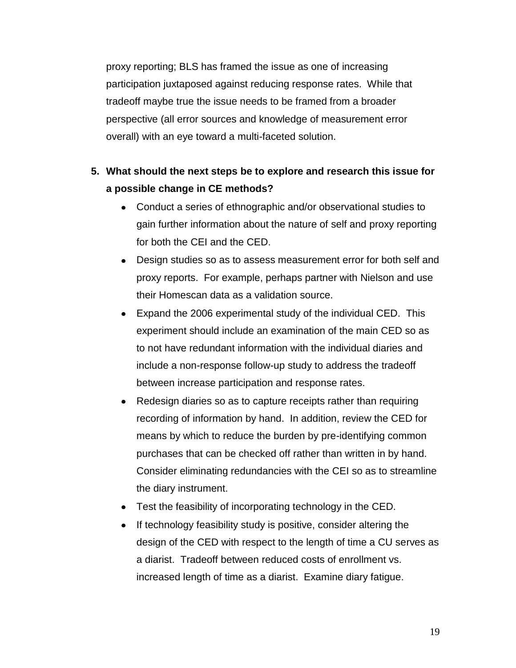proxy reporting; BLS has framed the issue as one of increasing participation juxtaposed against reducing response rates. While that tradeoff maybe true the issue needs to be framed from a broader perspective (all error sources and knowledge of measurement error overall) with an eye toward a multi-faceted solution.

# **5. What should the next steps be to explore and research this issue for a possible change in CE methods?**

- Conduct a series of ethnographic and/or observational studies to gain further information about the nature of self and proxy reporting for both the CEI and the CED.
- Design studies so as to assess measurement error for both self and proxy reports. For example, perhaps partner with Nielson and use their Homescan data as a validation source.
- Expand the 2006 experimental study of the individual CED. This experiment should include an examination of the main CED so as to not have redundant information with the individual diaries and include a non-response follow-up study to address the tradeoff between increase participation and response rates.
- Redesign diaries so as to capture receipts rather than requiring recording of information by hand. In addition, review the CED for means by which to reduce the burden by pre-identifying common purchases that can be checked off rather than written in by hand. Consider eliminating redundancies with the CEI so as to streamline the diary instrument.
- Test the feasibility of incorporating technology in the CED.
- If technology feasibility study is positive, consider altering the  $\bullet$ design of the CED with respect to the length of time a CU serves as a diarist. Tradeoff between reduced costs of enrollment vs. increased length of time as a diarist. Examine diary fatigue.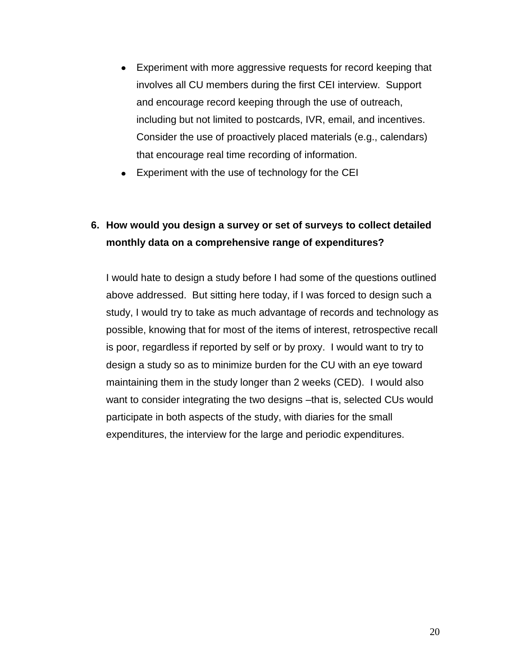- Experiment with more aggressive requests for record keeping that involves all CU members during the first CEI interview. Support and encourage record keeping through the use of outreach, including but not limited to postcards, IVR, email, and incentives. Consider the use of proactively placed materials (e.g., calendars) that encourage real time recording of information.
- Experiment with the use of technology for the CEI

# **6. How would you design a survey or set of surveys to collect detailed monthly data on a comprehensive range of expenditures?**

I would hate to design a study before I had some of the questions outlined above addressed. But sitting here today, if I was forced to design such a study, I would try to take as much advantage of records and technology as possible, knowing that for most of the items of interest, retrospective recall is poor, regardless if reported by self or by proxy. I would want to try to design a study so as to minimize burden for the CU with an eye toward maintaining them in the study longer than 2 weeks (CED). I would also want to consider integrating the two designs –that is, selected CUs would participate in both aspects of the study, with diaries for the small expenditures, the interview for the large and periodic expenditures.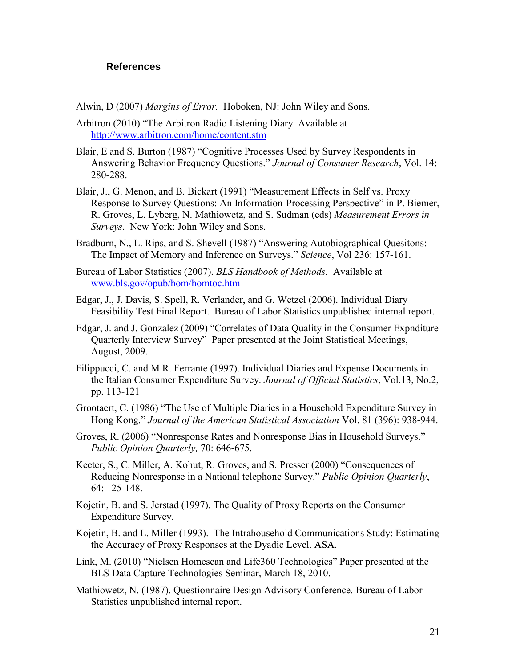#### **References**

Alwin, D (2007) *Margins of Error.* Hoboken, NJ: John Wiley and Sons.

- Arbitron (2010) "The Arbitron Radio Listening Diary. Available at <http://www.arbitron.com/home/content.stm>
- Blair, E and S. Burton (1987) "Cognitive Processes Used by Survey Respondents in Answering Behavior Frequency Questions." *Journal of Consumer Research*, Vol. 14: 280-288.
- Blair, J., G. Menon, and B. Bickart (1991) "Measurement Effects in Self vs. Proxy Response to Survey Questions: An Information-Processing Perspective" in P. Biemer, R. Groves, L. Lyberg, N. Mathiowetz, and S. Sudman (eds) *Measurement Errors in Surveys*. New York: John Wiley and Sons.
- Bradburn, N., L. Rips, and S. Shevell (1987) "Answering Autobiographical Quesitons: The Impact of Memory and Inference on Surveys." *Science*, Vol 236: 157-161.
- Bureau of Labor Statistics (2007). *BLS Handbook of Methods.* Available at [www.bls.gov/opub/hom/homtoc.htm](http://www.bls.gov/opub/hom/homtoc.htm)
- Edgar, J., J. Davis, S. Spell, R. Verlander, and G. Wetzel (2006). Individual Diary Feasibility Test Final Report. Bureau of Labor Statistics unpublished internal report.
- Edgar, J. and J. Gonzalez (2009) "Correlates of Data Quality in the Consumer Expnditure Quarterly Interview Survey" Paper presented at the Joint Statistical Meetings, August, 2009.
- Filippucci, C. and M.R. Ferrante (1997). Individual Diaries and Expense Documents in the Italian Consumer Expenditure Survey. *Journal of Official Statistics*, Vol.13, No.2, pp. 113-121
- Grootaert, C. (1986) "The Use of Multiple Diaries in a Household Expenditure Survey in Hong Kong." *Journal of the American Statistical Association* Vol. 81 (396): 938-944.
- Groves, R. (2006) "Nonresponse Rates and Nonresponse Bias in Household Surveys." *Public Opinion Quarterly,* 70: 646-675.
- Keeter, S., C. Miller, A. Kohut, R. Groves, and S. Presser (2000) "Consequences of Reducing Nonresponse in a National telephone Survey." *Public Opinion Quarterly*, 64: 125-148.
- Kojetin, B. and S. Jerstad (1997). The Quality of Proxy Reports on the Consumer Expenditure Survey.
- Kojetin, B. and L. Miller (1993). The Intrahousehold Communications Study: Estimating the Accuracy of Proxy Responses at the Dyadic Level. ASA.
- Link, M. (2010) "Nielsen Homescan and Life360 Technologies" Paper presented at the BLS Data Capture Technologies Seminar, March 18, 2010.
- Mathiowetz, N. (1987). Questionnaire Design Advisory Conference. Bureau of Labor Statistics unpublished internal report.